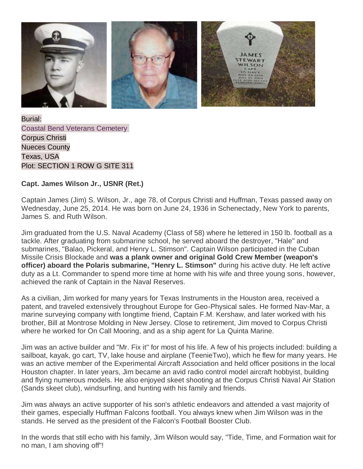

Burial: [Coastal Bend Veterans Cemetery](http://findagrave.com/cgi-bin/fg.cgi?page=cr&GSln=wilson&GSfn=jAMES&GSbyrel=all&GSdy=2014&GSdyrel=in&GSst=46&GScntry=4&GSob=n&GRid=131935231&CRid=2428018&df=all&) Corpus Christi Nueces County Texas, USA Plot: SECTION 1 ROW G SITE 311

## **Capt. James Wilson Jr., USNR (Ret.)**

Captain James (Jim) S. Wilson, Jr., age 78, of Corpus Christi and Huffman, Texas passed away on Wednesday, June 25, 2014. He was born on June 24, 1936 in Schenectady, New York to parents, James S. and Ruth Wilson.

Jim graduated from the U.S. Naval Academy (Class of 58) where he lettered in 150 lb. football as a tackle. After graduating from submarine school, he served aboard the destroyer, "Hale" and submarines, "Balao, Pickeral, and Henry L. Stimson". Captain Wilson participated in the Cuban Missile Crisis Blockade and **was a plank owner and original Gold Crew Member (weapon's officer) aboard the Polaris submarine, "Henry L. Stimson"** during his active duty. He left active duty as a Lt. Commander to spend more time at home with his wife and three young sons, however, achieved the rank of Captain in the Naval Reserves.

As a civilian, Jim worked for many years for Texas Instruments in the Houston area, received a patent, and traveled extensively throughout Europe for Geo-Physical sales. He formed Nav-Mar, a marine surveying company with longtime friend, Captain F.M. Kershaw, and later worked with his brother, Bill at Montrose Molding in New Jersey. Close to retirement, Jim moved to Corpus Christi where he worked for On Call Mooring, and as a ship agent for La Quinta Marine.

Jim was an active builder and "Mr. Fix it" for most of his life. A few of his projects included: building a sailboat, kayak, go cart, TV, lake house and airplane (TeenieTwo), which he flew for many years. He was an active member of the Experimental Aircraft Association and held officer positions in the local Houston chapter. In later years, Jim became an avid radio control model aircraft hobbyist, building and flying numerous models. He also enjoyed skeet shooting at the Corpus Christi Naval Air Station (Sands skeet club), windsurfing, and hunting with his family and friends.

Jim was always an active supporter of his son's athletic endeavors and attended a vast majority of their games, especially Huffman Falcons football. You always knew when Jim Wilson was in the stands. He served as the president of the Falcon's Football Booster Club.

In the words that still echo with his family, Jim Wilson would say, "Tide, Time, and Formation wait for no man, I am shoving off"!